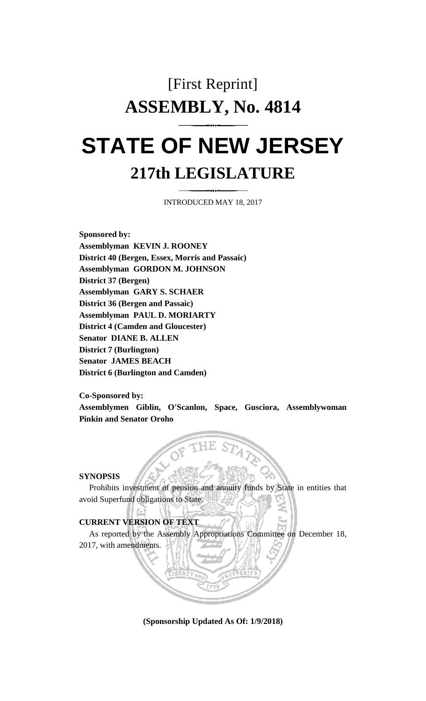# [First Reprint] **ASSEMBLY, No. 4814 STATE OF NEW JERSEY**

## **217th LEGISLATURE**

INTRODUCED MAY 18, 2017

**Sponsored by: Assemblyman KEVIN J. ROONEY District 40 (Bergen, Essex, Morris and Passaic) Assemblyman GORDON M. JOHNSON District 37 (Bergen) Assemblyman GARY S. SCHAER District 36 (Bergen and Passaic) Assemblyman PAUL D. MORIARTY District 4 (Camden and Gloucester) Senator DIANE B. ALLEN District 7 (Burlington) Senator JAMES BEACH District 6 (Burlington and Camden)**

**Co-Sponsored by: Assemblymen Giblin, O'Scanlon, Space, Gusciora, Assemblywoman Pinkin and Senator Oroho**

#### **SYNOPSIS**

Prohibits investment of pension and annuity funds by State in entities that avoid Superfund obligations to State.

#### **CURRENT VERSION OF TEXT**

As reported by the Assembly Appropriations Committee on December 18, 2017, with amendments.

**(Sponsorship Updated As Of: 1/9/2018)**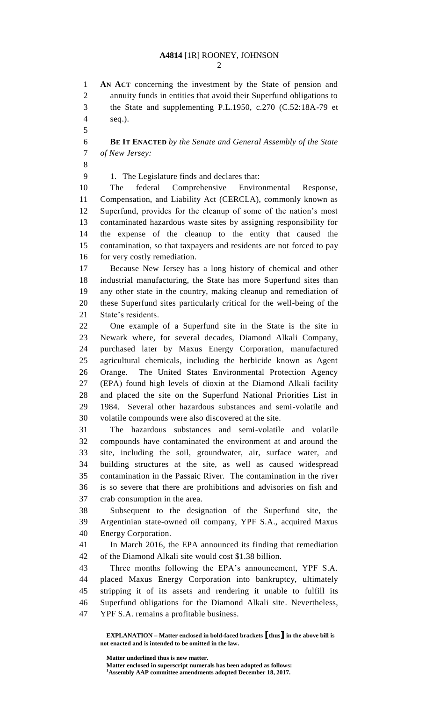### **A4814** [1R] ROONEY, JOHNSON

 **AN ACT** concerning the investment by the State of pension and annuity funds in entities that avoid their Superfund obligations to the State and supplementing P.L.1950, c.270 (C.52:18A-79 et seq.).

 **BE IT ENACTED** *by the Senate and General Assembly of the State of New Jersey:*

1. The Legislature finds and declares that:

 The federal Comprehensive Environmental Response, Compensation, and Liability Act (CERCLA), commonly known as Superfund, provides for the cleanup of some of the nation's most contaminated hazardous waste sites by assigning responsibility for the expense of the cleanup to the entity that caused the contamination, so that taxpayers and residents are not forced to pay for very costly remediation.

 Because New Jersey has a long history of chemical and other industrial manufacturing, the State has more Superfund sites than any other state in the country, making cleanup and remediation of these Superfund sites particularly critical for the well-being of the State's residents.

 One example of a Superfund site in the State is the site in Newark where, for several decades, Diamond Alkali Company, purchased later by Maxus Energy Corporation, manufactured agricultural chemicals, including the herbicide known as Agent Orange. The United States Environmental Protection Agency (EPA) found high levels of dioxin at the Diamond Alkali facility and placed the site on the Superfund National Priorities List in 1984. Several other hazardous substances and semi-volatile and volatile compounds were also discovered at the site.

 The hazardous substances and semi-volatile and volatile compounds have contaminated the environment at and around the site, including the soil, groundwater, air, surface water, and building structures at the site, as well as caused widespread contamination in the Passaic River. The contamination in the river is so severe that there are prohibitions and advisories on fish and crab consumption in the area.

 Subsequent to the designation of the Superfund site, the Argentinian state-owned oil company, YPF S.A., acquired Maxus Energy Corporation.

 In March 2016, the EPA announced its finding that remediation of the Diamond Alkali site would cost \$1.38 billion.

 Three months following the EPA's announcement, YPF S.A. placed Maxus Energy Corporation into bankruptcy, ultimately stripping it of its assets and rendering it unable to fulfill its Superfund obligations for the Diamond Alkali site. Nevertheless, YPF S.A. remains a profitable business.

**EXPLANATION – Matter enclosed in bold-faced brackets [thus] in the above bill is not enacted and is intended to be omitted in the law.**

**Matter underlined thus is new matter.**

**Matter enclosed in superscript numerals has been adopted as follows: Assembly AAP committee amendments adopted December 18, 2017.**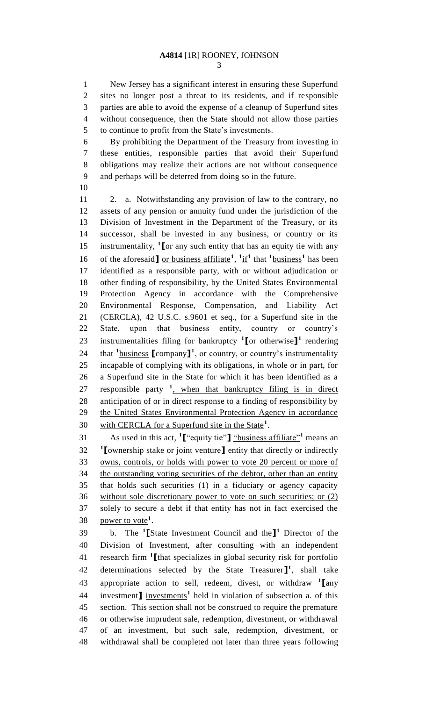New Jersey has a significant interest in ensuring these Superfund sites no longer post a threat to its residents, and if responsible parties are able to avoid the expense of a cleanup of Superfund sites without consequence, then the State should not allow those parties to continue to profit from the State's investments.

 By prohibiting the Department of the Treasury from investing in these entities, responsible parties that avoid their Superfund obligations may realize their actions are not without consequence and perhaps will be deterred from doing so in the future.

 2. a. Notwithstanding any provision of law to the contrary, no assets of any pension or annuity fund under the jurisdiction of the Division of Investment in the Department of the Treasury, or its successor, shall be invested in any business, or country or its 15 instrumentality, <sup>1</sup> [or any such entity that has an equity tie with any 16 of the aforesaid or business affiliate<sup>1</sup>,  $\frac{1}{1}$ <sup>1</sup> that  $\frac{1}{1}$  business<sup>1</sup> has been identified as a responsible party, with or without adjudication or other finding of responsibility, by the United States Environmental Protection Agency in accordance with the Comprehensive Environmental Response, Compensation, and Liability Act (CERCLA), 42 U.S.C. s.9601 et seq., for a Superfund site in the State, upon that business entity, country or country's 23 instrumentalities filing for bankruptcy <sup>1</sup>[or otherwise]<sup>1</sup> rendering 24 that <sup>1</sup> business **[**company**]**<sup>1</sup>, or country, or country's instrumentality incapable of complying with its obligations, in whole or in part, for a Superfund site in the State for which it has been identified as a 27 responsible party <sup>1</sup>, when that bankruptcy filing is in direct anticipation of or in direct response to a finding of responsibility by the United States Environmental Protection Agency in accordance with CERCLA for a Superfund site in the State**<sup>1</sup>** .

As used in this act, **<sup>1</sup> [**"equity tie"**]** "business affiliate"**<sup>1</sup>** means an **[**ownership stake or joint venture**]** entity that directly or indirectly owns, controls, or holds with power to vote 20 percent or more of 34 the outstanding voting securities of the debtor, other than an entity that holds such securities (1) in a fiduciary or agency capacity without sole discretionary power to vote on such securities; or (2) solely to secure a debt if that entity has not in fact exercised the 38 <u>power to vote</u><sup>1</sup>.

b. The **<sup>1</sup> [**State Investment Council and the**] 1** Director of the Division of Investment, after consulting with an independent research firm **<sup>1</sup> [**that specializes in global security risk for portfolio 42 determinations selected by the State Treasurer $\mathbf{I}^1$ , shall take appropriate action to sell, redeem, divest, or withdraw **<sup>1</sup> [**any 44 investment**]** investments<sup>1</sup> held in violation of subsection a. of this section. This section shall not be construed to require the premature or otherwise imprudent sale, redemption, divestment, or withdrawal of an investment, but such sale, redemption, divestment, or withdrawal shall be completed not later than three years following